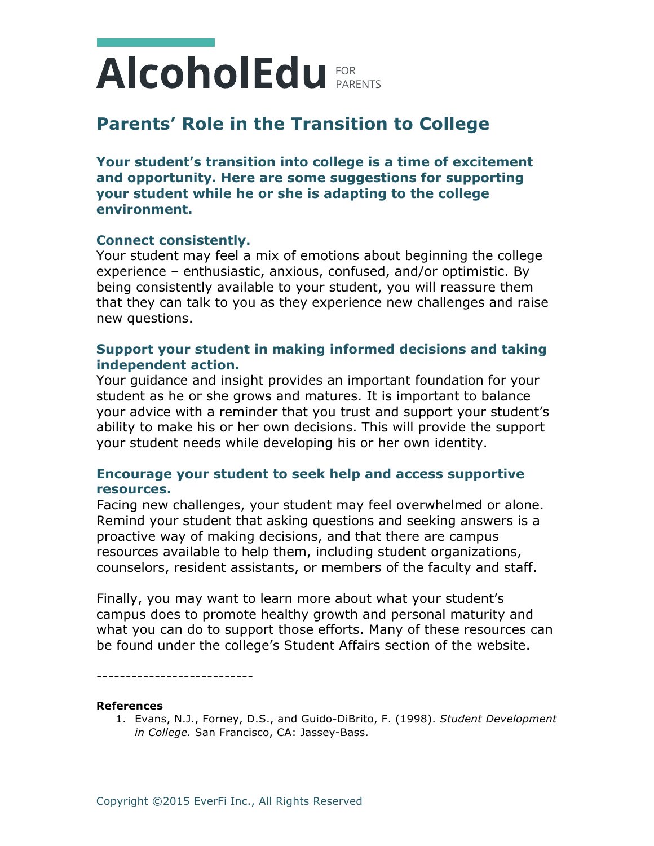# PARENTS FOR

### **Parents' Role in the Transition to College**

**Your student's transition into college is a time of excitement and opportunity. Here are some suggestions for supporting your student while he or she is adapting to the college environment.**

### **Connect consistently.**

Your student may feel a mix of emotions about beginning the college experience – enthusiastic, anxious, confused, and/or optimistic. By being consistently available to your student, you will reassure them that they can talk to you as they experience new challenges and raise new questions.

### **Support your student in making informed decisions and taking independent action.**

Your guidance and insight provides an important foundation for your student as he or she grows and matures. It is important to balance your advice with a reminder that you trust and support your student's ability to make his or her own decisions. This will provide the support your student needs while developing his or her own identity.

### **Encourage your student to seek help and access supportive resources.**

Facing new challenges, your student may feel overwhelmed or alone. Remind your student that asking questions and seeking answers is a proactive way of making decisions, and that there are campus resources available to help them, including student organizations, counselors, resident assistants, or members of the faculty and staff.

Finally, you may want to learn more about what your student's campus does to promote healthy growth and personal maturity and what you can do to support those efforts. Many of these resources can be found under the college's Student Affairs section of the website.

---------------------------

#### **References**

1. Evans, N.J., Forney, D.S., and Guido-DiBrito, F. (1998). *Student Development in College.* San Francisco, CA: Jassey-Bass.